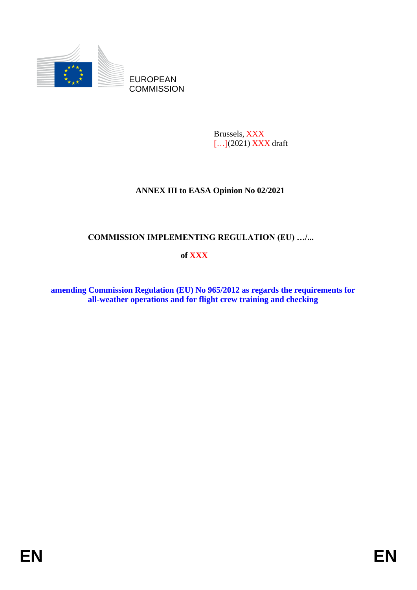

Brussels, XXX [...](2021) **XXX** draft

# **ANNEX III to EASA Opinion No 02/2021**

## **COMMISSION IMPLEMENTING REGULATION (EU) …/...**

## **of XXX**

**amending Commission Regulation (EU) No 965/2012 as regards the requirements for all-weather operations and for flight crew training and checking**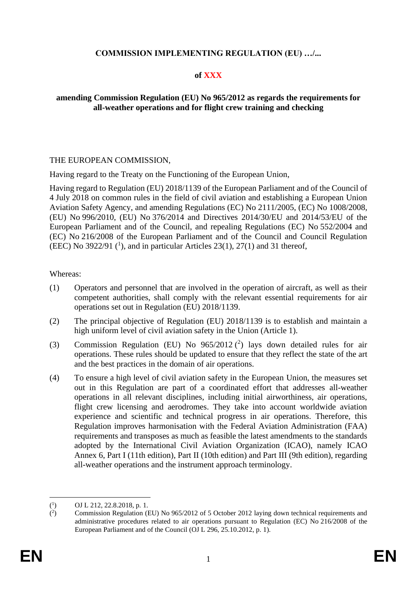### **COMMISSION IMPLEMENTING REGULATION (EU) …/...**

#### **of XXX**

### **amending Commission Regulation (EU) No 965/2012 as regards the requirements for all-weather operations and for flight crew training and checking**

#### THE EUROPEAN COMMISSION,

Having regard to the Treaty on the Functioning of the European Union,

Having regard to Regulation (EU) 2018/1139 of the European Parliament and of the Council of 4 July 2018 on common rules in the field of civil aviation and establishing a European Union Aviation Safety Agency, and amending Regulations (EC) No 2111/2005, (EC) No 1008/2008, (EU) No 996/2010, (EU) No 376/2014 and Directives 2014/30/EU and 2014/53/EU of the European Parliament and of the Council, and repealing Regulations (EC) No 552/2004 and (EC) No 216/2008 of the European Parliament and of the Council and Council Regulation (EEC) No 3922/91  $(1)$ , and in particular Articles 23(1), 27(1) and 31 thereof,

#### Whereas:

- (1) Operators and personnel that are involved in the operation of aircraft, as well as their competent authorities, shall comply with the relevant essential requirements for air operations set out in Regulation (EU) 2018/1139.
- (2) The principal objective of Regulation (EU) 2018/1139 is to establish and maintain a high uniform level of civil aviation safety in the Union (Article 1).
- (3) Commission Regulation (EU) No  $965/2012$  (2) lays down detailed rules for air operations. These rules should be updated to ensure that they reflect the state of the art and the best practices in the domain of air operations.
- (4) To ensure a high level of civil aviation safety in the European Union, the measures set out in this Regulation are part of a coordinated effort that addresses all-weather operations in all relevant disciplines, including initial airworthiness, air operations, flight crew licensing and aerodromes. They take into account worldwide aviation experience and scientific and technical progress in air operations. Therefore, this Regulation improves harmonisation with the Federal Aviation Administration (FAA) requirements and transposes as much as feasible the latest amendments to the standards adopted by the International Civil Aviation Organization (ICAO), namely ICAO Annex 6, Part I (11th edition), Part II (10th edition) and Part III (9th edition), regarding all-weather operations and the instrument approach terminology.

 $(^1$ ) OJ L 212, 22.8.2018, p. 1.

 $($ <sup>2</sup> ) Commission Regulation (EU) No 965/2012 of 5 October 2012 laying down technical requirements and administrative procedures related to air operations pursuant to Regulation (EC) No 216/2008 of the European Parliament and of the Council (OJ L 296, 25.10.2012, p. 1).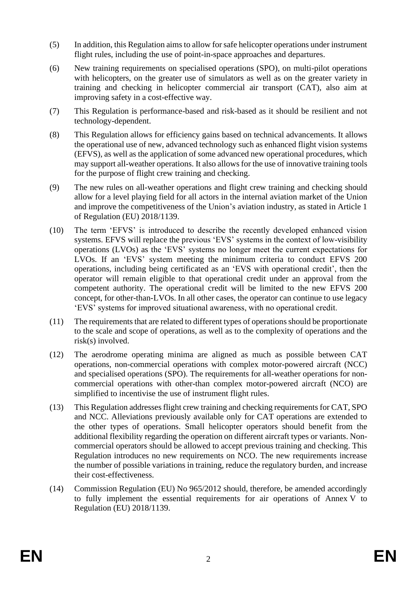- (5) In addition, this Regulation aimsto allow for safe helicopter operations under instrument flight rules, including the use of point-in-space approaches and departures.
- (6) New training requirements on specialised operations (SPO), on multi-pilot operations with helicopters, on the greater use of simulators as well as on the greater variety in training and checking in helicopter commercial air transport (CAT), also aim at improving safety in a cost-effective way.
- (7) This Regulation is performance-based and risk-based as it should be resilient and not technology-dependent.
- (8) This Regulation allows for efficiency gains based on technical advancements. It allows the operational use of new, advanced technology such as enhanced flight vision systems (EFVS), as well as the application of some advanced new operational procedures, which may support all-weather operations. It also allows for the use of innovative training tools for the purpose of flight crew training and checking.
- (9) The new rules on all-weather operations and flight crew training and checking should allow for a level playing field for all actors in the internal aviation market of the Union and improve the competitiveness of the Union's aviation industry, as stated in Article 1 of Regulation (EU) 2018/1139.
- (10) The term 'EFVS' is introduced to describe the recently developed enhanced vision systems. EFVS will replace the previous 'EVS' systems in the context of low-visibility operations (LVOs) as the 'EVS' systems no longer meet the current expectations for LVOs. If an 'EVS' system meeting the minimum criteria to conduct EFVS 200 operations, including being certificated as an 'EVS with operational credit', then the operator will remain eligible to that operational credit under an approval from the competent authority. The operational credit will be limited to the new EFVS 200 concept, for other-than-LVOs. In all other cases, the operator can continue to use legacy 'EVS' systems for improved situational awareness, with no operational credit.
- (11) The requirements that are related to different types of operationsshould be proportionate to the scale and scope of operations, as well as to the complexity of operations and the risk(s) involved.
- (12) The aerodrome operating minima are aligned as much as possible between CAT operations, non-commercial operations with complex motor-powered aircraft (NCC) and specialised operations (SPO). The requirements for all-weather operations for noncommercial operations with other-than complex motor-powered aircraft (NCO) are simplified to incentivise the use of instrument flight rules.
- (13) This Regulation addresses flight crew training and checking requirements for CAT, SPO and NCC. Alleviations previously available only for CAT operations are extended to the other types of operations. Small helicopter operators should benefit from the additional flexibility regarding the operation on different aircraft types or variants. Noncommercial operators should be allowed to accept previous training and checking. This Regulation introduces no new requirements on NCO. The new requirements increase the number of possible variations in training, reduce the regulatory burden, and increase their cost-effectiveness.
- (14) Commission Regulation (EU) No 965/2012 should, therefore, be amended accordingly to fully implement the essential requirements for air operations of Annex V to Regulation (EU) 2018/1139.